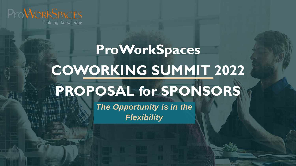

linking knowledge

# **ProWorkSpaces COWORKING SUMMIT 2022 PROPOSAL for SPONSORS**

*The Opportunity is in the Flexibility*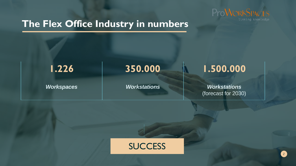

## **The Flex Office Industry in numbers**

**1.226 350.000 1.500.000**

*Workspaces Workstations Workstations* (forecast for 2030)

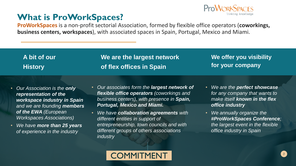## **What is ProWorkSpaces?**



**ProWorkSpaces** is a non-profit sectorial Association, formed by flexible office operators (**coworkings, business centers, workspaces**), with associated spaces in Spain, Portugal, Mexico and Miami.

| A bit of our   | We are the largest network | We offer you visibility |
|----------------|----------------------------|-------------------------|
| <b>History</b> | of flex offices in Spain   | for your company        |

- *Our Association is the only representation of the workspace industry in Spain and we are founding members of the EWA (European Workspaces Associations)*
- *We have more than 25 years of experience in the industry*
- *Our associates form the largest network of flexible office operators (coworkings and business centers), with presence in Spain, Portugal, Mexico and Miami.*
- *We have collaboration agreements with different entities in support of entrepreneurship, town councils and with different groups of others associations industry*
- *We are the perfect showcase for any company that wants to make itself known in the flex office industry*
- *We annually organize the #ProWorkSpaces Conference; the largest event in the flexible office industry in Spain*

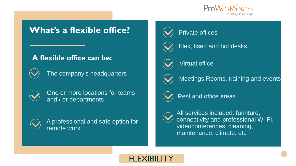

## **What's a flexible office?**

## **A flexible office can be:**



The company's headquarters



One or more locations for teams and / or departments



A professional and safe option for remote work



## Private offices



Flex, fised and hot desks



Virtual office



Meetings Rooms, training and events



Rest and office areas



All services included: furniture, connectivity and professional Wi-Fi, videoconferences, cleaning, maintenance, climate, etc

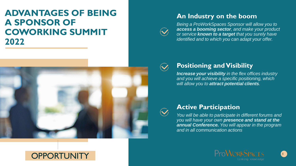## **ADVANTAGES OF BEING A SPONSOR OF COWORKING SUMMIT 2022**



**OPPORTUNITY** 

## **An Industry on the boom**



*Being a ProWorkSpaces Sponsor will allow you to access a booming sector, and make your product or service known to a target that you surely have identified and to which you can adapt your offer.*



## **Positioning and Visibility**

*Increase your visibility in the flex offices industry and you will achieve a specific positioning, which will allow you to attract potential clients.*



#### **Active Participation**

*You will be able to participate in different forums and you will have your own presence and stand at the annual Conference. You will appear in the program and in all communication actions*

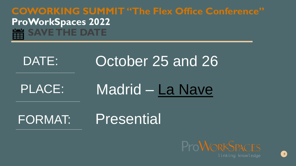## **COWORKING SUMMIT "The Flex Office Conference" ProWorkSpaces 2022 SAVE THE DATE**

# DATE: October 25 and 26

# PLACE: Madrid – [La Nave](https://www.lanavemadrid.com/la-nave/)

## FORMAT: Presential

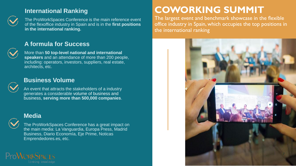### **International Ranking**



The ProWorkSpaces Conference is the main reference event of the flexoffice industry in Spain and is in the **first positions in the international ranking.**

### **A formula for Success**

More than **50 top-level national and international speakers** and an attendance of more than 200 people, including: operators, investors, suppliers, real estate, architects, etc.



#### **Business Volume**

An event that attracts the stakeholders of a industry generates a considerable volume of business and business, **serving more than 500,000 companies**.

#### **Media**



The ProWorkSpaces Conference has a great impact on the main media: La Vanguardia, Europa Press, Madrid Business, Diario Economía, Eje Prime, Noticas Emprendedores.es, etc.



## **COWORKING SUMMIT**

The largest event and benchmark showcase in the flexible office industry in Spain, which occupies the top positions in the international ranking

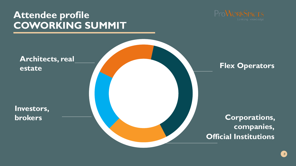## **Attendee profile COWORKING SUMMIT**

**Investors,** 

**estate**



# **Architects, real**

## **Flex Operators**

**brokers Corporations, companies, Official Institutions**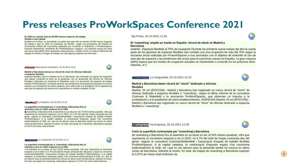## **Press releases ProWorkSpaces Conference 2021**

#### **En 2024 se crearán más de 40.000 nuevos espacios de trabajo flexible a nivel global**

flexibles en el futuro. A nivel global, se estima que este año se crearán 20.000 nuevos espacios de trabajo y que en 2024 se superarán los 40.000 , según las previsiones del Estudio de Crecimiento Global del Coworking elaborado por Cushman & Wakefield y ProWorkSpaces. Eduardo Salsamendi, presidente de ProWorkSpaces, asegura: «La situación actual nos tiene que servir para definir cómo queremos relacionarnos» y añade «al fin y al cabo la definición del trabajo en remoto o el lugar de trabajo son sólo algunos aspectos de esa trans

#### **OBSERVATORIO** Observatorio inmobiliario, 25-10-2021 10:41

#### **Madrid y Barcelona marcan un récord de stock de oficinas dedicado**

**a espacios flexibles** espacios flexibles, tanto en Madrid como en Barcelona, han retomado sus planes de expansión que habían contenido al inicio de la pandemia. Así se desprende del informe de 'Oficinas Flexibles' elaborado por Cushman & Wakefield, junto a la asociación de espacios de trabajo flexible ProWorkSpaces. El estudio observa una tendencia a la recuperación basada en el nuevo impulso a la contratación de estos espacios, pero sobre todo a la ampliación de la superficie de este tipo de espacios por parte de los operadores en ambas ciudades. El hec

#### la República La República, 25-10-2021 11:16

#### **La superfície contractada per a 'coworking' a Barcelona fins al setembre creix un 126% respecte tot el 2020**

�˜coworking' a Barcelona fins al setembre es va situar en els 10.925 metres quadrats, xifra que representa un increment respecte a tot el 2020 i el 4,7% del total de l'espai contractat des del gener, segons la consultora Cushman&Wakefield i l'associació d'espais de treballs flexibles ProWorkSpaces. A la capital catalana, la contractació d'aquests espais s'ha concentrat tradicionalment al 22@, tot i que en els darrers anys la demanda també ha crescut en altres zones de Barcelona, sobretot al centre. En total, els espais de 'coworking' a Barcelona suposen el 2,57% de l'estoc total d'oficine

#### LA VANGUARDIA La Vanguardia, 25-10-2021 11:17

#### **La superfície contractada per a 'coworking' a Barcelona fins al setembre creix un 126% respecte tot el 2020**

s al setembre es va situar en els 10.925 metres quadrats, xifra que representa un increment respecte a tot el 2020 i el 4,7% del total de l'espai contractat des del gener, segons la consultora Cushman&Wakefield i l'associació d'espais de treballs flexibles ProWorkSpaces. A la capital catalana, la contractació d'aquests espais s'ha concentrat tradicionalment al 22@, tot i que en els darrers anys la demanda també ha crescut en altres zones de Barcelona, sobretot al centre. En total, els espais de 'coworking' a Barcelona suposen el 2,57% de l'estoc total d'oficines

#### Eje Prime, 25-10-2021 11:50

#### **El 'coworking' amplia su huella en España: récord de stock en Madrid y Barcelona**

nstante". Espacios flexibles al 75% de ocupación Durante los primeros nueve meses del año la cuarta parte de los gestores de espacios flexibles han contado con una ocupación de más del 75% según la encuesta anual realizada por ProworkSpaces a sus asociados con el objetivo de entender el uso de este tipo de espacios y las tendencias del sector para los próximos meses en España. La gran mayoría (94%) espera que los niveles de ocupación actuales se mantendrán o crecerán en los próximos años. Además, el 2

#### LA VANGUARDIA La Vanguardia, 25-10-2021 12:10



#### **Madrid y Barcelona baten récord de "stock" dedicado a oficinas flexibles**

Madrid, 25 oct (EFECOM).- Madrid y Barcelona han registrado un nuevo récord de "stock" de oficinas dedicado a espacios flexibles o "coworking", según el último informe de la consultora Cushman & Wakefield y la asociación ProWorkSpaces, que observan un impulso a la contratación y a la ampliación de estos establecimientos. AGENCIAS Madrid, 25 oct (EFECOM).- Madrid y Barcelona han registrado un nuevo récord de "stock" de oficinas dedicado a espacios flexibles o "coworking"

#### Via Empresa, 25-10-2021 12:38



#### **Creix la superfície contractada per 'coworking'a Barcelona**

de coworking a Barcelona fins al setembre es va situar en els 10.925 metres quadrats, xifra que representa un increment respecte a tot el 2020 i el 4,7% del total de l'espai contractat des del gener, segons la consultora Cushman&Wakefield i l'associació d'espais de treballs flexibles ProWorkSpaces. A la capital catalana, la contractació d'aquests espais s'ha concentrat tradicionalment al 22@, tot i que en els darrers anys la demanda també ha crescut en altres zones de Barcelona, sobretot al centre. En total, els espais de coworking a Barcelona suposen el 2,57% de l'estoc total d'oficines da